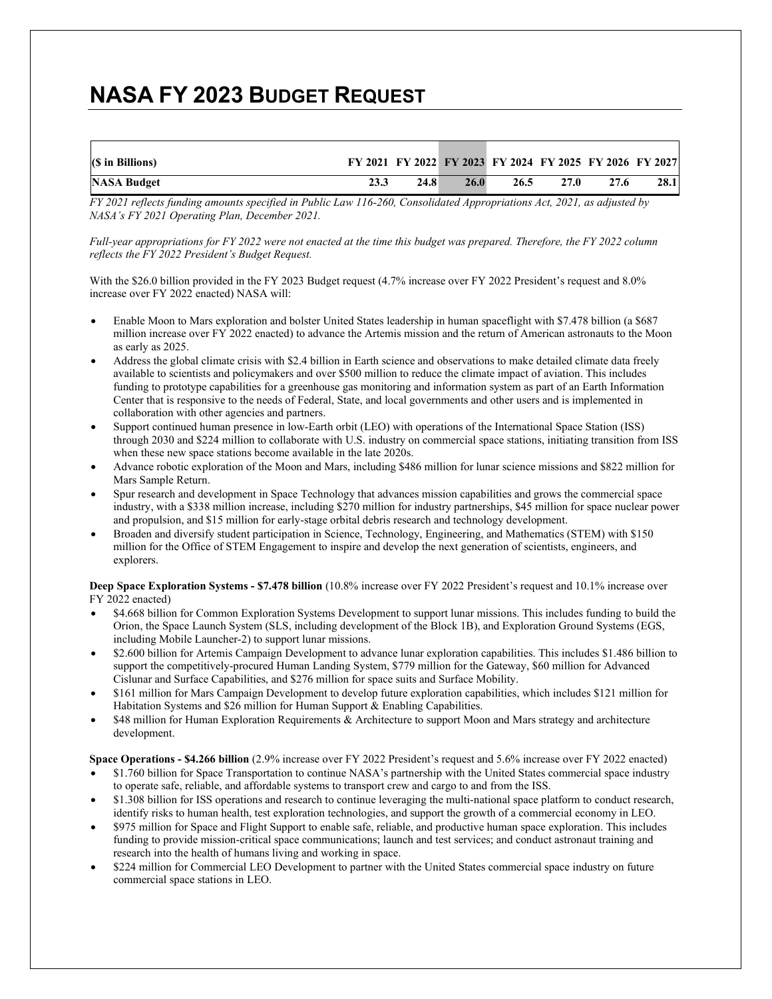## **NASA FY 2023 BUDGET REQUEST**

| (\$ in Billions) |      | FY 2021 FY 2022 FY 2023 FY 2024 FY 2025 FY 2026 FY 2027 |      |      |      |      |
|------------------|------|---------------------------------------------------------|------|------|------|------|
| NASA Budget      | 24.8 | 26.0                                                    | 26.5 | 27.0 | 27.6 | 28.1 |

*FY 2021 reflects funding amounts specified in Public Law 116-260, Consolidated Appropriations Act, 2021, as adjusted by NASA's FY 2021 Operating Plan, December 2021.*

*Full-year appropriations for FY 2022 were not enacted at the time this budget was prepared. Therefore, the FY 2022 column reflects the FY 2022 President's Budget Request.*

With the \$26.0 billion provided in the FY 2023 Budget request (4.7% increase over FY 2022 President's request and 8.0% increase over FY 2022 enacted) NASA will:

- Enable Moon to Mars exploration and bolster United States leadership in human spaceflight with \$7.478 billion (a \$687 million increase over FY 2022 enacted) to advance the Artemis mission and the return of American astronauts to the Moon as early as 2025.
- Address the global climate crisis with \$2.4 billion in Earth science and observations to make detailed climate data freely available to scientists and policymakers and over \$500 million to reduce the climate impact of aviation. This includes funding to prototype capabilities for a greenhouse gas monitoring and information system as part of an Earth Information Center that is responsive to the needs of Federal, State, and local governments and other users and is implemented in collaboration with other agencies and partners.
- Support continued human presence in low-Earth orbit (LEO) with operations of the International Space Station (ISS) through 2030 and \$224 million to collaborate with U.S. industry on commercial space stations, initiating transition from ISS when these new space stations become available in the late 2020s.
- Advance robotic exploration of the Moon and Mars, including \$486 million for lunar science missions and \$822 million for Mars Sample Return.
- Spur research and development in Space Technology that advances mission capabilities and grows the commercial space industry, with a \$338 million increase, including \$270 million for industry partnerships, \$45 million for space nuclear power and propulsion, and \$15 million for early-stage orbital debris research and technology development.
- Broaden and diversify student participation in Science, Technology, Engineering, and Mathematics (STEM) with \$150 million for the Office of STEM Engagement to inspire and develop the next generation of scientists, engineers, and explorers.

**Deep Space Exploration Systems - \$7.478 billion** (10.8% increase over FY 2022 President's request and 10.1% increase over FY 2022 enacted)

- \$4.668 billion for Common Exploration Systems Development to support lunar missions. This includes funding to build the Orion, the Space Launch System (SLS, including development of the Block 1B), and Exploration Ground Systems (EGS, including Mobile Launcher-2) to support lunar missions.
- \$2.600 billion for Artemis Campaign Development to advance lunar exploration capabilities. This includes \$1.486 billion to support the competitively-procured Human Landing System, \$779 million for the Gateway, \$60 million for Advanced Cislunar and Surface Capabilities, and \$276 million for space suits and Surface Mobility.
- \$161 million for Mars Campaign Development to develop future exploration capabilities, which includes \$121 million for Habitation Systems and \$26 million for Human Support & Enabling Capabilities.
- \$48 million for Human Exploration Requirements & Architecture to support Moon and Mars strategy and architecture development.

**Space Operations - \$4.266 billion** (2.9% increase over FY 2022 President's request and 5.6% increase over FY 2022 enacted)

- \$1.760 billion for Space Transportation to continue NASA's partnership with the United States commercial space industry to operate safe, reliable, and affordable systems to transport crew and cargo to and from the ISS.
- \$1.308 billion for ISS operations and research to continue leveraging the multi-national space platform to conduct research, identify risks to human health, test exploration technologies, and support the growth of a commercial economy in LEO.
- \$975 million for Space and Flight Support to enable safe, reliable, and productive human space exploration. This includes funding to provide mission-critical space communications; launch and test services; and conduct astronaut training and research into the health of humans living and working in space.
- \$224 million for Commercial LEO Development to partner with the United States commercial space industry on future commercial space stations in LEO.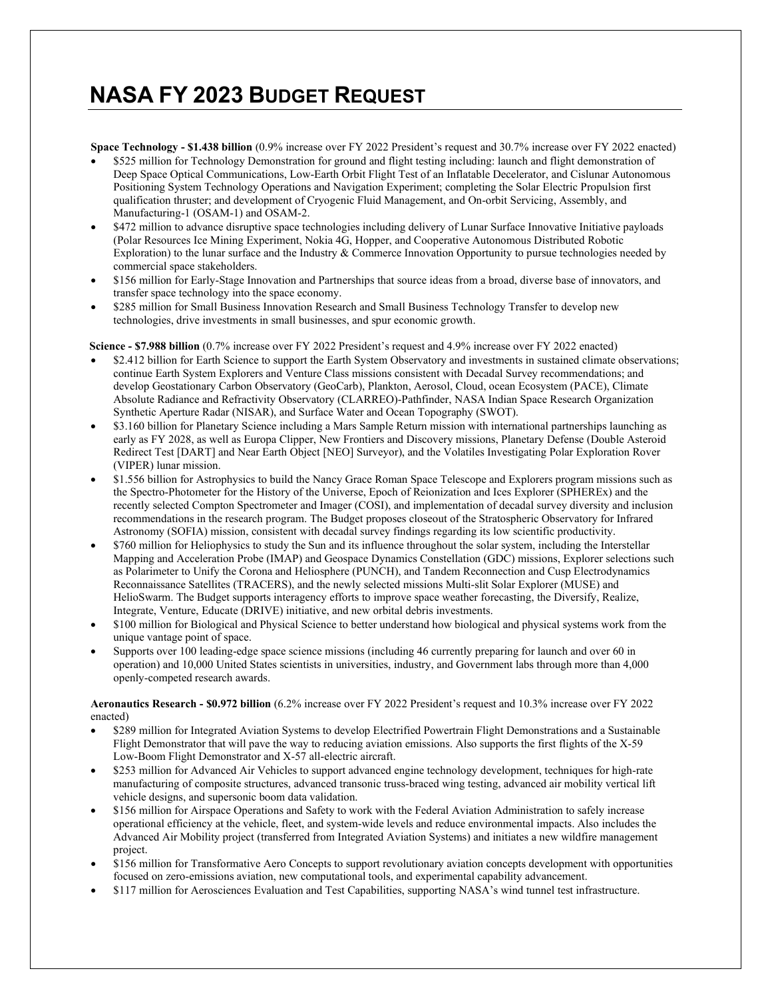## **NASA FY 2023 BUDGET REQUEST**

**Space Technology - \$1.438 billion** (0.9% increase over FY 2022 President's request and 30.7% increase over FY 2022 enacted)

- \$525 million for Technology Demonstration for ground and flight testing including: launch and flight demonstration of Deep Space Optical Communications, Low-Earth Orbit Flight Test of an Inflatable Decelerator, and Cislunar Autonomous Positioning System Technology Operations and Navigation Experiment; completing the Solar Electric Propulsion first qualification thruster; and development of Cryogenic Fluid Management, and On-orbit Servicing, Assembly, and Manufacturing-1 (OSAM-1) and OSAM-2.
- \$472 million to advance disruptive space technologies including delivery of Lunar Surface Innovative Initiative payloads (Polar Resources Ice Mining Experiment, Nokia 4G, Hopper, and Cooperative Autonomous Distributed Robotic Exploration) to the lunar surface and the Industry & Commerce Innovation Opportunity to pursue technologies needed by commercial space stakeholders.
- \$156 million for Early-Stage Innovation and Partnerships that source ideas from a broad, diverse base of innovators, and transfer space technology into the space economy.
- \$285 million for Small Business Innovation Research and Small Business Technology Transfer to develop new technologies, drive investments in small businesses, and spur economic growth.

**Science - \$7.988 billion** (0.7% increase over FY 2022 President's request and 4.9% increase over FY 2022 enacted)

- \$2.412 billion for Earth Science to support the Earth System Observatory and investments in sustained climate observations; continue Earth System Explorers and Venture Class missions consistent with Decadal Survey recommendations; and develop Geostationary Carbon Observatory (GeoCarb), Plankton, Aerosol, Cloud, ocean Ecosystem (PACE), Climate Absolute Radiance and Refractivity Observatory (CLARREO)-Pathfinder, NASA Indian Space Research Organization Synthetic Aperture Radar (NISAR), and Surface Water and Ocean Topography (SWOT).
- \$3.160 billion for Planetary Science including a Mars Sample Return mission with international partnerships launching as early as FY 2028, as well as Europa Clipper, New Frontiers and Discovery missions, Planetary Defense (Double Asteroid Redirect Test [DART] and Near Earth Object [NEO] Surveyor), and the Volatiles Investigating Polar Exploration Rover (VIPER) lunar mission.
- \$1.556 billion for Astrophysics to build the Nancy Grace Roman Space Telescope and Explorers program missions such as the Spectro-Photometer for the History of the Universe, Epoch of Reionization and Ices Explorer (SPHEREx) and the recently selected Compton Spectrometer and Imager (COSI), and implementation of decadal survey diversity and inclusion recommendations in the research program. The Budget proposes closeout of the Stratospheric Observatory for Infrared Astronomy (SOFIA) mission, consistent with decadal survey findings regarding its low scientific productivity.
- \$760 million for Heliophysics to study the Sun and its influence throughout the solar system, including the Interstellar Mapping and Acceleration Probe (IMAP) and Geospace Dynamics Constellation (GDC) missions, Explorer selections such as Polarimeter to Unify the Corona and Heliosphere (PUNCH), and Tandem Reconnection and Cusp Electrodynamics Reconnaissance Satellites (TRACERS), and the newly selected missions Multi-slit Solar Explorer (MUSE) and HelioSwarm. The Budget supports interagency efforts to improve space weather forecasting, the Diversify, Realize, Integrate, Venture, Educate (DRIVE) initiative, and new orbital debris investments.
- \$100 million for Biological and Physical Science to better understand how biological and physical systems work from the unique vantage point of space.
- Supports over 100 leading-edge space science missions (including 46 currently preparing for launch and over 60 in operation) and 10,000 United States scientists in universities, industry, and Government labs through more than 4,000 openly-competed research awards.

**Aeronautics Research - \$0.972 billion** (6.2% increase over FY 2022 President's request and 10.3% increase over FY 2022 enacted)

- \$289 million for Integrated Aviation Systems to develop Electrified Powertrain Flight Demonstrations and a Sustainable Flight Demonstrator that will pave the way to reducing aviation emissions. Also supports the first flights of the X-59 Low-Boom Flight Demonstrator and X-57 all-electric aircraft.
- \$253 million for Advanced Air Vehicles to support advanced engine technology development, techniques for high-rate manufacturing of composite structures, advanced transonic truss-braced wing testing, advanced air mobility vertical lift vehicle designs, and supersonic boom data validation.
- \$156 million for Airspace Operations and Safety to work with the Federal Aviation Administration to safely increase operational efficiency at the vehicle, fleet, and system-wide levels and reduce environmental impacts. Also includes the Advanced Air Mobility project (transferred from Integrated Aviation Systems) and initiates a new wildfire management project.
- \$156 million for Transformative Aero Concepts to support revolutionary aviation concepts development with opportunities focused on zero-emissions aviation, new computational tools, and experimental capability advancement.
- \$117 million for Aerosciences Evaluation and Test Capabilities, supporting NASA's wind tunnel test infrastructure.